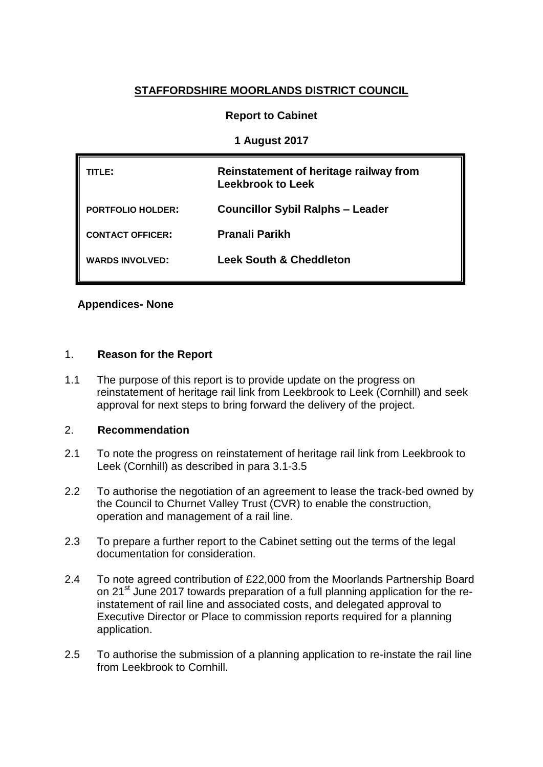# **STAFFORDSHIRE MOORLANDS DISTRICT COUNCIL**

## **Report to Cabinet**

## **1 August 2017**

| TITLE:                   | Reinstatement of heritage railway from<br><b>Leekbrook to Leek</b> |
|--------------------------|--------------------------------------------------------------------|
| <b>PORTFOLIO HOLDER:</b> | <b>Councillor Sybil Ralphs - Leader</b>                            |
| <b>CONTACT OFFICER:</b>  | Pranali Parikh                                                     |
| <b>WARDS INVOLVED:</b>   | <b>Leek South &amp; Cheddleton</b>                                 |

## **Appendices- None**

### 1. **Reason for the Report**

1.1 The purpose of this report is to provide update on the progress on reinstatement of heritage rail link from Leekbrook to Leek (Cornhill) and seek approval for next steps to bring forward the delivery of the project.

## 2. **Recommendation**

- 2.1 To note the progress on reinstatement of heritage rail link from Leekbrook to Leek (Cornhill) as described in para 3.1-3.5
- 2.2 To authorise the negotiation of an agreement to lease the track-bed owned by the Council to Churnet Valley Trust (CVR) to enable the construction, operation and management of a rail line.
- 2.3 To prepare a further report to the Cabinet setting out the terms of the legal documentation for consideration.
- 2.4 To note agreed contribution of £22,000 from the Moorlands Partnership Board on 21<sup>st</sup> June 2017 towards preparation of a full planning application for the reinstatement of rail line and associated costs, and delegated approval to Executive Director or Place to commission reports required for a planning application.
- 2.5 To authorise the submission of a planning application to re-instate the rail line from Leekbrook to Cornhill.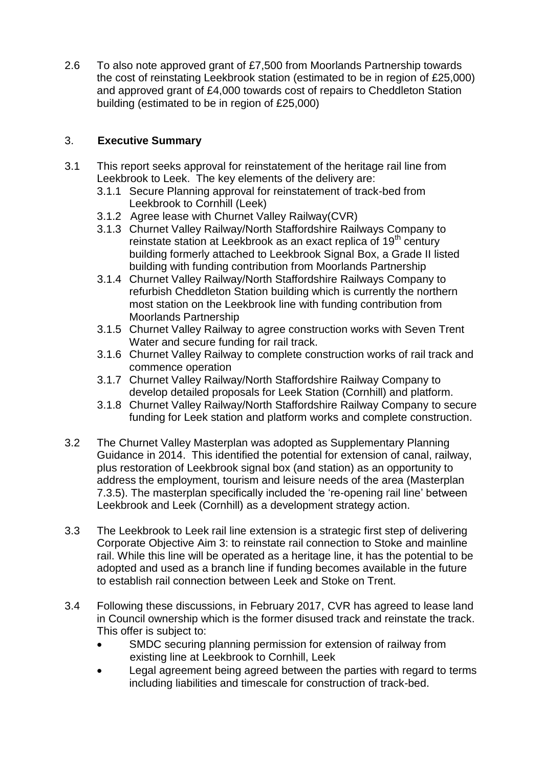2.6 To also note approved grant of £7,500 from Moorlands Partnership towards the cost of reinstating Leekbrook station (estimated to be in region of £25,000) and approved grant of £4,000 towards cost of repairs to Cheddleton Station building (estimated to be in region of £25,000)

## 3. **Executive Summary**

- 3.1 This report seeks approval for reinstatement of the heritage rail line from Leekbrook to Leek. The key elements of the delivery are:
	- 3.1.1 Secure Planning approval for reinstatement of track-bed from Leekbrook to Cornhill (Leek)
	- 3.1.2 Agree lease with Churnet Valley Railway(CVR)
	- 3.1.3 Churnet Valley Railway/North Staffordshire Railways Company to reinstate station at Leekbrook as an exact replica of 19<sup>th</sup> century building formerly attached to Leekbrook Signal Box, a Grade II listed building with funding contribution from Moorlands Partnership
	- 3.1.4 Churnet Valley Railway/North Staffordshire Railways Company to refurbish Cheddleton Station building which is currently the northern most station on the Leekbrook line with funding contribution from Moorlands Partnership
	- 3.1.5 Churnet Valley Railway to agree construction works with Seven Trent Water and secure funding for rail track.
	- 3.1.6 Churnet Valley Railway to complete construction works of rail track and commence operation
	- 3.1.7 Churnet Valley Railway/North Staffordshire Railway Company to develop detailed proposals for Leek Station (Cornhill) and platform.
	- 3.1.8 Churnet Valley Railway/North Staffordshire Railway Company to secure funding for Leek station and platform works and complete construction.
- 3.2 The Churnet Valley Masterplan was adopted as Supplementary Planning Guidance in 2014. This identified the potential for extension of canal, railway, plus restoration of Leekbrook signal box (and station) as an opportunity to address the employment, tourism and leisure needs of the area (Masterplan 7.3.5). The masterplan specifically included the 're-opening rail line' between Leekbrook and Leek (Cornhill) as a development strategy action.
- 3.3 The Leekbrook to Leek rail line extension is a strategic first step of delivering Corporate Objective Aim 3: to reinstate rail connection to Stoke and mainline rail. While this line will be operated as a heritage line, it has the potential to be adopted and used as a branch line if funding becomes available in the future to establish rail connection between Leek and Stoke on Trent.
- 3.4 Following these discussions, in February 2017, CVR has agreed to lease land in Council ownership which is the former disused track and reinstate the track. This offer is subject to:
	- SMDC securing planning permission for extension of railway from existing line at Leekbrook to Cornhill, Leek
	- Legal agreement being agreed between the parties with regard to terms including liabilities and timescale for construction of track-bed.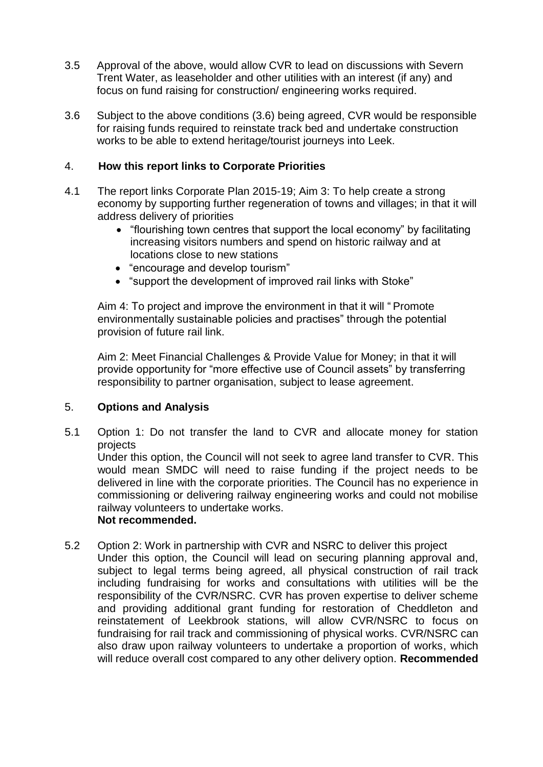- 3.5 Approval of the above, would allow CVR to lead on discussions with Severn Trent Water, as leaseholder and other utilities with an interest (if any) and focus on fund raising for construction/ engineering works required.
- 3.6 Subject to the above conditions (3.6) being agreed, CVR would be responsible for raising funds required to reinstate track bed and undertake construction works to be able to extend heritage/tourist journeys into Leek.

## 4. **How this report links to Corporate Priorities**

- 4.1 The report links Corporate Plan 2015-19; Aim 3: To help create a strong economy by supporting further regeneration of towns and villages; in that it will address delivery of priorities
	- "flourishing town centres that support the local economy" by facilitating increasing visitors numbers and spend on historic railway and at locations close to new stations
	- "encourage and develop tourism"
	- "support the development of improved rail links with Stoke"

Aim 4: To project and improve the environment in that it will " Promote environmentally sustainable policies and practises" through the potential provision of future rail link.

Aim 2: Meet Financial Challenges & Provide Value for Money; in that it will provide opportunity for "more effective use of Council assets" by transferring responsibility to partner organisation, subject to lease agreement.

### 5. **Options and Analysis**

5.1 Option 1: Do not transfer the land to CVR and allocate money for station projects

Under this option, the Council will not seek to agree land transfer to CVR. This would mean SMDC will need to raise funding if the project needs to be delivered in line with the corporate priorities. The Council has no experience in commissioning or delivering railway engineering works and could not mobilise railway volunteers to undertake works.

## **Not recommended.**

- 5.2 Option 2: Work in partnership with CVR and NSRC to deliver this project
	- Under this option, the Council will lead on securing planning approval and, subject to legal terms being agreed, all physical construction of rail track including fundraising for works and consultations with utilities will be the responsibility of the CVR/NSRC. CVR has proven expertise to deliver scheme and providing additional grant funding for restoration of Cheddleton and reinstatement of Leekbrook stations, will allow CVR/NSRC to focus on fundraising for rail track and commissioning of physical works. CVR/NSRC can also draw upon railway volunteers to undertake a proportion of works, which will reduce overall cost compared to any other delivery option. **Recommended**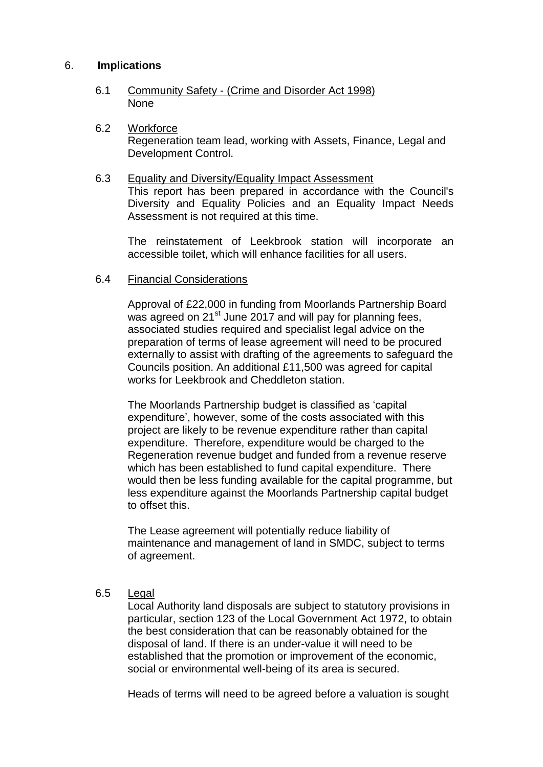### 6. **Implications**

- 6.1 Community Safety (Crime and Disorder Act 1998) None
- 6.2 Workforce Regeneration team lead, working with Assets, Finance, Legal and Development Control.
- 6.3 Equality and Diversity/Equality Impact Assessment This report has been prepared in accordance with the Council's Diversity and Equality Policies and an Equality Impact Needs Assessment is not required at this time.

The reinstatement of Leekbrook station will incorporate an accessible toilet, which will enhance facilities for all users.

#### 6.4 Financial Considerations

Approval of £22,000 in funding from Moorlands Partnership Board was agreed on 21<sup>st</sup> June 2017 and will pay for planning fees, associated studies required and specialist legal advice on the preparation of terms of lease agreement will need to be procured externally to assist with drafting of the agreements to safeguard the Councils position. An additional £11,500 was agreed for capital works for Leekbrook and Cheddleton station.

The Moorlands Partnership budget is classified as 'capital expenditure', however, some of the costs associated with this project are likely to be revenue expenditure rather than capital expenditure. Therefore, expenditure would be charged to the Regeneration revenue budget and funded from a revenue reserve which has been established to fund capital expenditure. There would then be less funding available for the capital programme, but less expenditure against the Moorlands Partnership capital budget to offset this.

The Lease agreement will potentially reduce liability of maintenance and management of land in SMDC, subject to terms of agreement.

## 6.5 Legal

Local Authority land disposals are subject to statutory provisions in particular, section 123 of the Local Government Act 1972, to obtain the best consideration that can be reasonably obtained for the disposal of land. If there is an under-value it will need to be established that the promotion or improvement of the economic, social or environmental well-being of its area is secured.

Heads of terms will need to be agreed before a valuation is sought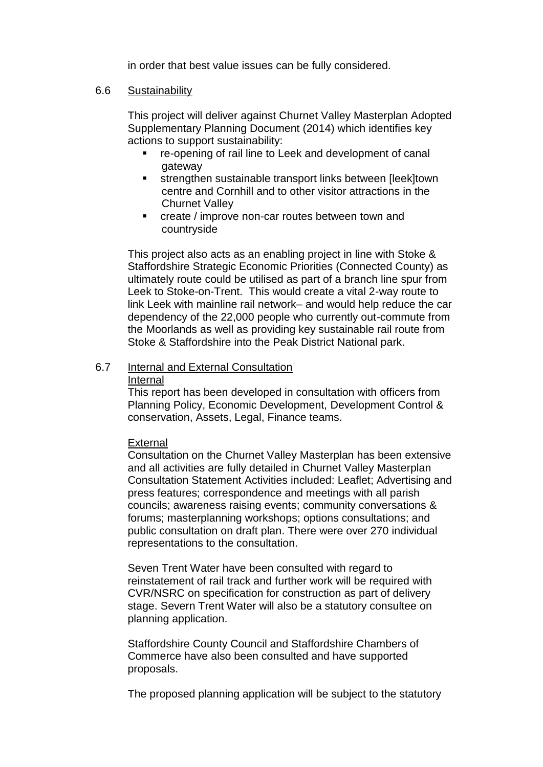in order that best value issues can be fully considered.

#### 6.6 Sustainability

This project will deliver against Churnet Valley Masterplan Adopted Supplementary Planning Document (2014) which identifies key actions to support sustainability:

- re-opening of rail line to Leek and development of canal gateway
- **strengthen sustainable transport links between [leek]town** centre and Cornhill and to other visitor attractions in the Churnet Valley
- **EXECRE** / improve non-car routes between town and countryside

This project also acts as an enabling project in line with Stoke & Staffordshire Strategic Economic Priorities (Connected County) as ultimately route could be utilised as part of a branch line spur from Leek to Stoke-on-Trent. This would create a vital 2-way route to link Leek with mainline rail network– and would help reduce the car dependency of the 22,000 people who currently out-commute from the Moorlands as well as providing key sustainable rail route from Stoke & Staffordshire into the Peak District National park.

#### 6.7 Internal and External Consultation

#### Internal

This report has been developed in consultation with officers from Planning Policy, Economic Development, Development Control & conservation, Assets, Legal, Finance teams.

#### **External**

Consultation on the Churnet Valley Masterplan has been extensive and all activities are fully detailed in Churnet Valley Masterplan Consultation Statement Activities included: Leaflet; Advertising and press features; correspondence and meetings with all parish councils; awareness raising events; community conversations & forums; masterplanning workshops; options consultations; and public consultation on draft plan. There were over 270 individual representations to the consultation.

Seven Trent Water have been consulted with regard to reinstatement of rail track and further work will be required with CVR/NSRC on specification for construction as part of delivery stage. Severn Trent Water will also be a statutory consultee on planning application.

Staffordshire County Council and Staffordshire Chambers of Commerce have also been consulted and have supported proposals.

The proposed planning application will be subject to the statutory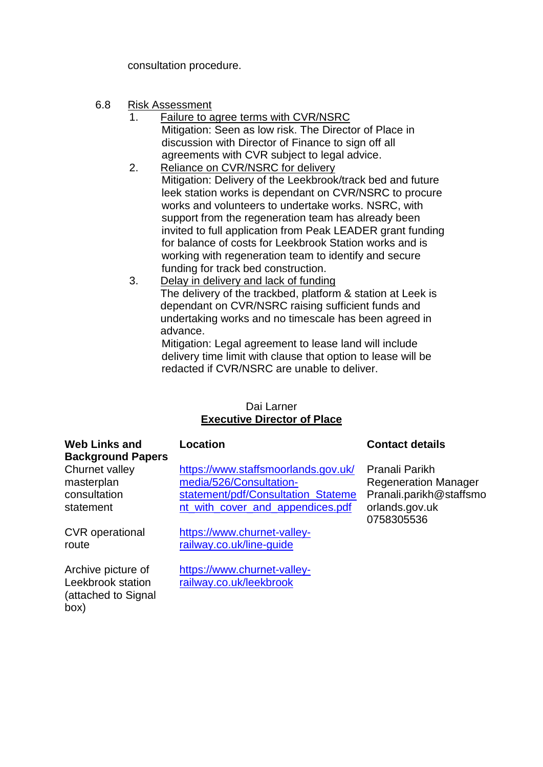consultation procedure.

- 6.8 Risk Assessment
	- 1. Failure to agree terms with CVR/NSRC Mitigation: Seen as low risk. The Director of Place in discussion with Director of Finance to sign off all agreements with CVR subject to legal advice.
	- 2. Reliance on CVR/NSRC for delivery Mitigation: Delivery of the Leekbrook/track bed and future leek station works is dependant on CVR/NSRC to procure works and volunteers to undertake works. NSRC, with support from the regeneration team has already been invited to full application from Peak LEADER grant funding for balance of costs for Leekbrook Station works and is working with regeneration team to identify and secure funding for track bed construction.
	- 3. Delay in delivery and lack of funding The delivery of the trackbed, platform & station at Leek is dependant on CVR/NSRC raising sufficient funds and undertaking works and no timescale has been agreed in advance.

Mitigation: Legal agreement to lease land will include delivery time limit with clause that option to lease will be redacted if CVR/NSRC are unable to deliver.

## Dai Larner **Executive Director of Place**

| <b>Web Links and</b><br><b>Background Papers</b>                       | <b>Location</b>                                                                                                                          | <b>Contact details</b>                                                                                   |
|------------------------------------------------------------------------|------------------------------------------------------------------------------------------------------------------------------------------|----------------------------------------------------------------------------------------------------------|
| Churnet valley<br>masterplan<br>consultation<br>statement              | https://www.staffsmoorlands.gov.uk/<br>media/526/Consultation-<br>statement/pdf/Consultation_Stateme<br>nt_with_cover_and_appendices.pdf | Pranali Parikh<br><b>Regeneration Manager</b><br>Pranali.parikh@staffsmo<br>orlands.gov.uk<br>0758305536 |
| <b>CVR</b> operational<br>route                                        | https://www.churnet-valley-<br>railway.co.uk/line-guide                                                                                  |                                                                                                          |
| Archive picture of<br>Leekbrook station<br>(attached to Signal<br>(box | https://www.churnet-valley-<br>railway.co.uk/leekbrook                                                                                   |                                                                                                          |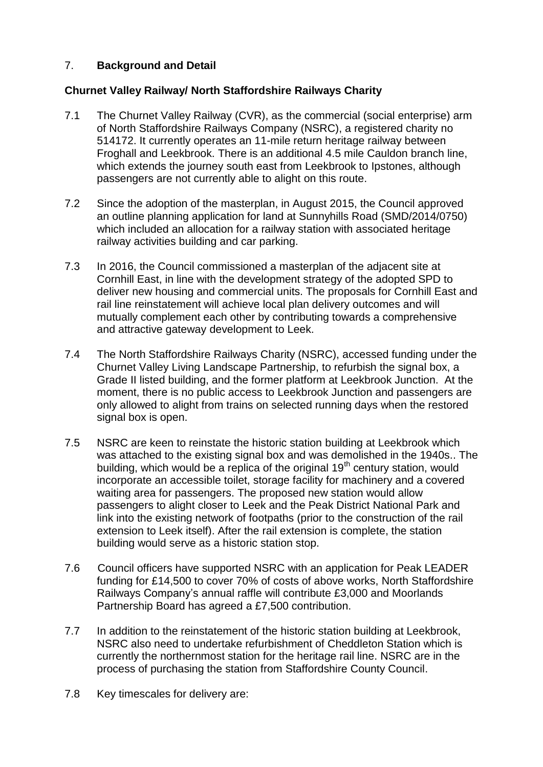## 7. **Background and Detail**

## **Churnet Valley Railway/ North Staffordshire Railways Charity**

- 7.1 The Churnet Valley Railway (CVR), as the commercial (social enterprise) arm of North Staffordshire Railways Company (NSRC), a registered charity no 514172. It currently operates an 11-mile return heritage railway between Froghall and Leekbrook. There is an additional 4.5 mile Cauldon branch line, which extends the journey south east from Leekbrook to Ipstones, although passengers are not currently able to alight on this route.
- 7.2 Since the adoption of the masterplan, in August 2015, the Council approved an outline planning application for land at Sunnyhills Road (SMD/2014/0750) which included an allocation for a railway station with associated heritage railway activities building and car parking.
- 7.3 In 2016, the Council commissioned a masterplan of the adjacent site at Cornhill East, in line with the development strategy of the adopted SPD to deliver new housing and commercial units. The proposals for Cornhill East and rail line reinstatement will achieve local plan delivery outcomes and will mutually complement each other by contributing towards a comprehensive and attractive gateway development to Leek.
- 7.4 The North Staffordshire Railways Charity (NSRC), accessed funding under the Churnet Valley Living Landscape Partnership, to refurbish the signal box, a Grade II listed building, and the former platform at Leekbrook Junction. At the moment, there is no public access to Leekbrook Junction and passengers are only allowed to alight from trains on selected running days when the restored signal box is open.
- 7.5 NSRC are keen to reinstate the historic station building at Leekbrook which was attached to the existing signal box and was demolished in the 1940s.. The building, which would be a replica of the original  $19<sup>th</sup>$  century station, would incorporate an accessible toilet, storage facility for machinery and a covered waiting area for passengers. The proposed new station would allow passengers to alight closer to Leek and the Peak District National Park and link into the existing network of footpaths (prior to the construction of the rail extension to Leek itself). After the rail extension is complete, the station building would serve as a historic station stop.
- 7.6 Council officers have supported NSRC with an application for Peak LEADER funding for £14,500 to cover 70% of costs of above works, North Staffordshire Railways Company's annual raffle will contribute £3,000 and Moorlands Partnership Board has agreed a £7,500 contribution.
- 7.7 In addition to the reinstatement of the historic station building at Leekbrook, NSRC also need to undertake refurbishment of Cheddleton Station which is currently the northernmost station for the heritage rail line. NSRC are in the process of purchasing the station from Staffordshire County Council.
- 7.8 Key timescales for delivery are: